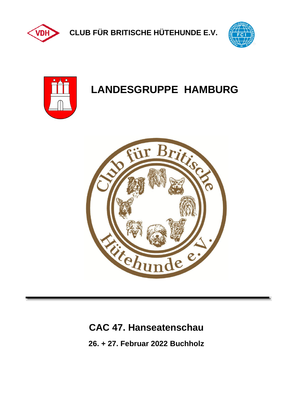

**CLUB FÜR BRITISCHE HÜTEHUNDE E.V.**





# **LANDESGRUPPE HAMBURG**



# **CAC 47. Hanseatenschau**

**26. + 27. Februar 2022 Buchholz**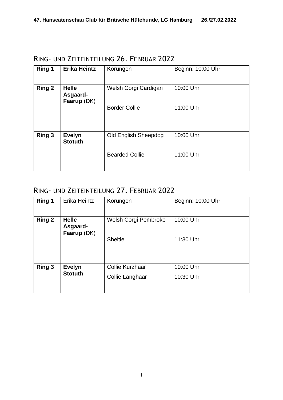| <b>Ring 1</b> | <b>Erika Heintz</b>                     | Körungen                    | Beginn: 10:00 Uhr |
|---------------|-----------------------------------------|-----------------------------|-------------------|
| <b>Ring 2</b> | <b>Helle</b><br>Asgaard-<br>Faarup (DK) | Welsh Corgi Cardigan        | 10:00 Uhr         |
|               |                                         | <b>Border Collie</b>        | 11:00 Uhr         |
| <b>Ring 3</b> | <b>Evelyn</b><br><b>Stotuth</b>         | <b>Old English Sheepdog</b> | 10:00 Uhr         |
|               |                                         | <b>Bearded Collie</b>       | 11:00 Uhr         |

RING- UND ZEITEINTEILUNG 26. FEBRUAR 2022

# RING- UND ZEITEINTEILUNG 27. FEBRUAR 2022

| Ring 1        | Erika Heintz                            | Körungen               | Beginn: 10:00 Uhr |
|---------------|-----------------------------------------|------------------------|-------------------|
| <b>Ring 2</b> | <b>Helle</b><br>Asgaard-<br>Faarup (DK) | Welsh Corgi Pembroke   | 10:00 Uhr         |
|               |                                         | <b>Sheltie</b>         | 11:30 Uhr         |
| Ring 3        | <b>Evelyn</b>                           | <b>Collie Kurzhaar</b> | 10:00 Uhr         |
|               | <b>Stotuth</b>                          | Collie Langhaar        | 10:30 Uhr         |
|               |                                         |                        |                   |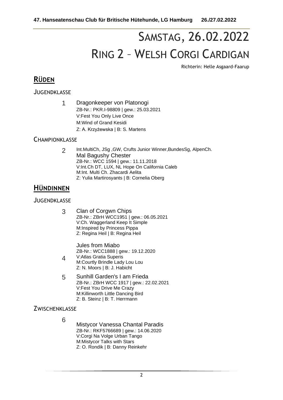# SAMSTAG, 26.02.2022 RING 2 – WELSH CORGI CARDIGAN

Richterin: Helle Asgaard-Faarup

## **RÜDEN**

JUGENDKLASSE

1 Dragonkeeper von Platonogi ZB-Nr.: PKR.I-98809 | gew.: 25.03.2021 V:Fest You Only Live Once M:Wind of Grand Kesidi Z: A. Krzyżewska | B: S. Martens

#### **CHAMPIONKLASSE**

2 Int.MultiCh, JSg ,GW, Crufts Junior Winner,BundesSg, AlpenCh. Mal Bagushy Chester ZB-Nr.: WCC 1594 | gew.: 11.11.2018 V:Int.Ch DT, LUX, NL Hope On California Caleb M:Int. Multi Ch. Zhacardi Aelita Z: Yulia Martirosyants | B: Cornelia Oberg

### **HÜNDINNEN**

#### **JUGENDKLASSE**

3 Clan of Corgwn Chips ZB-Nr.: ZBrH WCC1951 | gew.: 06.05.2021 V:Ch. Waggerland Keep It Simple M:Inspired by Princess Pippa Z: Regina Heil | B: Regina Heil

> Jules from Miabo ZB-Nr.: WCC1888 | gew.: 19.12.2020 V:Atlas Gratia Superis

- 4 M:Courtly Brindle Lady Lou Lou Z: N. Moors | B: J. Habicht
- 5 Sunhill Garden's I am Frieda ZB-Nr.: ZBrH WCC 1917 | gew.: 22.02.2021 V:Fest You Drive Me Crazy M:Killinworth Little Dancing Bird Z: B. Steinz | B: T. Herrmann

**ZWISCHENKLASSE** 

6

Mistycor Vanessa Chantal Paradis ZB-Nr.: RKF5766689 | gew.: 14.06.2020 V:Corgi Na Volge Urban Tango M:Mistycor Talks with Stars Z: O. Rondik | B: Danny Reinkehr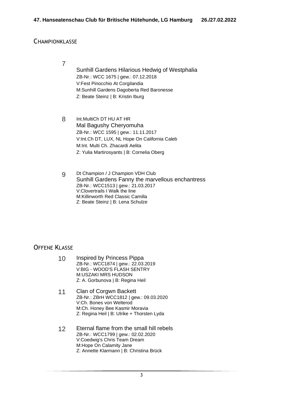#### **CHAMPIONKLASSE**

7

Sunhill Gardens Hilarious Hedwig of Westphalia ZB-Nr.: WCC 1675 | gew.: 07.12.2018 V:Fest Pinocchio At Corgilandia M:Sunhill Gardens Dagoberta Red Baronesse Z: Beate Steinz | B: Kristin Iburg

8 Int.MultiCh DT HU AT HR Mal Bagushy Cheryomuha ZB-Nr.: WCC 1595 | gew.: 11.11.2017 V:Int.Ch DT, LUX, NL Hope On California Caleb M:Int. Multi Ch. Zhacardi Aelita Z: Yulia Martirosyants | B: Cornelia Oberg

9 Dt Champion / J Champion VDH Club Sunhill Gardens Fanny the marvellous enchantress ZB-Nr.: WCC1513 | gew.: 21.03.2017 V:Clovertrails I Walk the line M:Killinworth Red Classic Camilla Z: Beate Steinz | B: Lena Schulze

- 10 Inspired by Princess Pippa ZB-Nr.: WCC1874 | gew.: 22.03.2019 V:BIG - WOOD'S FLASH SENTRY M:USZAKI MRS HUDSON Z: A. Gorbunova | B: Regina Heil
- 11 Clan of Corgwn Backett ZB-Nr.: ZBrH WCC1812 | gew.: 09.03.2020 V:Ch. Bones von Welterod M:Ch. Honey Bee Kasmir Moravia Z: Regina Heil | B: Ulrike + Thorsten Lyda
- 12 Eternal flame from the small hill rebels ZB-Nr.: WCC1799 | gew.: 02.02.2020 V:Coedwig's Chris Team Dream M:Hope On Calamity Jane Z: Annette Klarmann | B: Christina Brück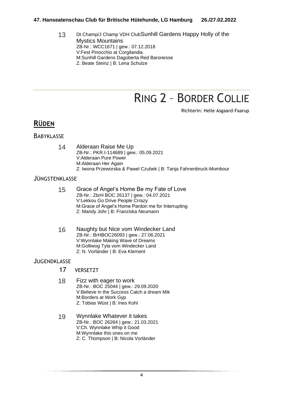#### **47. Hanseatenschau Club für Britische Hütehunde, LG Hamburg 26./27.02.2022**

13 Dt Champ/J Champ VDH ClubSunhill Gardens Happy Holly of the Mystics Mountains ZB-Nr.: WCC1671 | gew.: 07.12.2018 V:Fest Pinocchio at Corgilandia M:Sunhill Gardens Dagoberta Red Baronesse Z: Beate Steinz | B: Lena Schulze

# RING 2 – BORDER COLLIE

Richterin: Helle Asgaard-Faarup

### **RÜDEN**

#### **BABYKLASSE**

14 Alderaan Raise Me Up ZB-Nr.: PKR.I-114689 | gew.: 05.09.2021 V:Alderaan Pure Power M:Alderaan Her Again Z: Iwona Przeworska & Pawel Czubek | B: Tanja Fahnenbruck-Mombour

#### JÜNGSTENKLASSE

- 15 Grace of Angel's Home Be my Fate of Love ZB-Nr.: ZbrH BOC 26137 | gew.: 04.07.2021 V:Lekkou Go Drive People Crrazy M:Grace of Angel's Home Pardon me for Interrupting Z: Mandy Johr | B: Franziska Neumann
- 16 Naughty but Nice vom Windecker Land ZB-Nr.: BrHBOC26093 | gew.: 27.06.2021 V:Wynnlake Making Wave of Dreams M:Golliwog Tyla vom Windecker Land Z: N. Vorländer | B: Eva Klement

- 17 VERSETZT
- 18 Fizz with eager to work ZB-Nr.: BOC 25044 | gew.: 29.09.2020 V:Believe in the Success Catch a dream Mik M:Borders at Work Gyp Z: Tobias Wüst | B: Ines Kohl
- 19 Wynnlake Whatever it takes ZB-Nr.: BOC 26264 | gew.: 21.03.2021 V:Ch. Wynnlake Whip it Good M:Wynnlake this ones on me Z: C. Thompson | B: Nicola Vorländer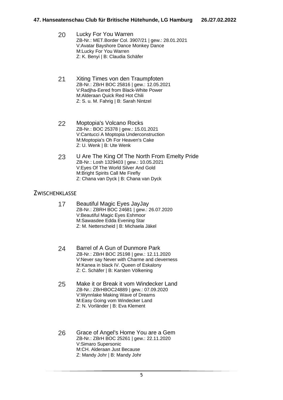| Lucky For You Warren                               |
|----------------------------------------------------|
| ZB-Nr.: MET.Border Col. 3907/21   gew.: 28.01.2021 |
| V: Avatar Bayshore Dance Monkey Dance              |
| M:Lucky For You Warren                             |
| Z: K. Benyi   B: Claudia Schäfer                   |
|                                                    |

- 21 Xiting Times von den Traumpfoten ZB-Nr.: ZBrH BOC 25816 | gew.: 12.05.2021 V:Radjha-Eered from Black-White Power M:Alderaan Quick Red Hot Chili Z: S. u. M. Fahrig | B: Sarah Nintzel
- 22 Moptopia's Volcano Rocks ZB-Nr.: BOC 25378 | gew.: 15.01.2021 V:Cantucci A Moptopia Underconstruction M:Moptopia's Oh For Heaven's Cake Z: U. Wenk | B: Ute Wenk
- 23 U Are The King Of The North From Emelty Pride ZB-Nr.: Losh 1329403 | gew.: 10.05.2021 V:Eyes Of The World Silver And Gold M:Bright Spirits Call Me Firefly Z: Chana van Dyck | B: Chana van Dyck

#### **ZWISCHENKLASSE**

- 17 Beautiful Magic Eyes JayJay ZB-Nr.: ZBRH BOC 24681 | gew.: 26.07.2020 V:Beautiful Magic Eyes Eshmoor M:Sawasdee Edda Evening Star Z: M. Netterscheid | B: Michaela Jäkel
- 24 Barrel of A Gun of Dunmore Park ZB-Nr.: ZBrH BOC 25198 | gew.: 12.11.2020 V:Never say Never with Charme and cleverness M:Kanea in black IV. Queen of Eskalony Z: C. Schäfer | B: Karsten Völkening
- 25 Make it or Break it vom Windecker Land ZB-Nr.: ZBrHBOC24889 | gew.: 07.09.2020 V:Wynnlake Making Wave of Dreams M:Easy Going vom Windecker Land Z: N. Vorländer | B: Eva Klement
- 26 Grace of Angel's Home You are a Gem ZB-Nr.: ZBrH BOC 25261 | gew.: 22.11.2020 V:Simaro Supersonic M:CH. Alderaan Just Because Z: Mandy Johr | B: Mandy Johr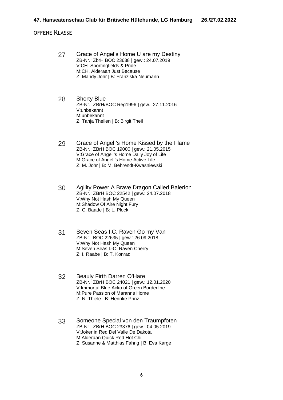- 27 Grace of Angel's Home U are my Destiny ZB-Nr.: ZbrH BOC 23638 | gew.: 24.07.2019 V:CH. Sportingfields & Pride M:CH. Alderaan Just Because Z: Mandy Johr | B: Franziska Neumann
- 28 Shorty Blue ZB-Nr.: ZBrH/BOC Reg1996 | gew.: 27.11.2016 V:unbekannt M:unbekannt Z: Tanja Theilen | B: Birgit Theil
- 29 Grace of Angel 's Home Kissed by the Flame ZB-Nr.: ZBrH BOC 19000 | gew.: 21.05.2015 V:Grace of Angel 's Home Daily Joy of Life M:Grace of Angel 's Home Active Life Z: M. Johr | B: M. Behrendt-Kwasniewski
- 30 Agility Power A Brave Dragon Called Balerion ZB-Nr.: ZBrH BOC 22542 | gew.: 24.07.2018 V:Why Not Hash My Queen M:Shadow Of Aire Night Fury Z: C. Baade | B: L. Plock
- 31 Seven Seas I.C. Raven Go my Van ZB-Nr.: BOC 22635 | gew.: 26.09.2018 V:Why Not Hash My Queen M:Seven Seas I.-C. Raven Cherry Z: I. Raabe | B: T. Konrad
- 32 Beauly Firth Darren O'Hare ZB-Nr.: ZBrH BOC 24021 | gew.: 12.01.2020 V:Immortal Blue Acko of Green Borderline M:Pure Passion of Maranns Home Z: N. Thiele | B: Henrike Prinz
- 33 Someone Special von den Traumpfoten ZB-Nr.: ZBrH BOC 23376 | gew.: 04.05.2019 V:Joker in Red Del Valle De Dakota M:Alderaan Quick Red Hot Chili Z: Susanne & Matthias Fahrig | B: Eva Karge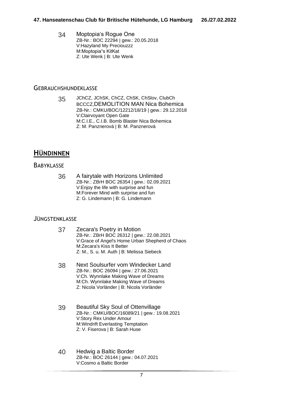34 Moptopia's Rogue One ZB-Nr.: BOC 22294 | gew.: 20.05.2018 V:Hazyland My Preciouzzz M:Moptopia"s KitKat Z: Ute Wenk | B: Ute Wenk

#### **GEBRAUCHSHUNDEKLASSE**

35 JChCZ, JChSK, ChCZ, ChSK, ChSlov, ClubCh BCCCZ,DEMOLITION MAN Nica Bohemica ZB-Nr.: CMKU/BOC/12212/18/19 | gew.: 29.12.2018 V:Clairvoyant Open Gate M:C.I.E., C.I.B. Bomb Blaster Nica Bohemica Z: M. Panznerová | B: M. Panznerová

## **HÜNDINNEN**

#### **BABYKLASSE**

36 A fairytale with Horizons Unlimited ZB-Nr.: ZBrH BOC 26354 | gew.: 02.09.2021 V:Enjoy the life with surprise and fun M:Forever Mind with surprise and fun Z: G. Lindemann | B: G. Lindemann

#### JÜNGSTENKLASSE

- 37 Zecara's Poetry in Motion ZB-Nr.: ZBrH BOC 26312 | gew.: 22.08.2021 V:Grace of Angel's Home Urban Shepherd of Chaos M:Zecara's Kiss It Better Z: M., S. u. M. Auth | B: Melissa Siebeck
- 38 Next Soulsurfer vom Windecker Land ZB-Nr.: BOC 26094 | gew.: 27.06.2021 V:Ch. Wynnlake Making Wave of Dreams M:Ch. Wynnlake Making Wave of Dreams Z: Nicola Vorländer | B: Nicola Vorländer
- 39 Beautiful Sky Soul of Ottenvillage ZB-Nr.: CMKU/BOC/16089/21 | gew.: 19.08.2021 V:Story Rex Under Amour M:Windrift Everlasting Temptation Z: V. Fiserova | B: Sarah Huse
- 40 Hedwig a Baltic Border ZB-Nr.: BOC 26144 | gew.: 04.07.2021 V:Cosmo a Baltic Border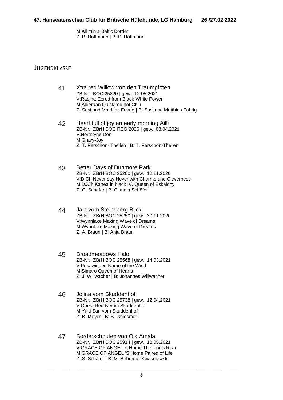M:All min a Baltic Border Z: P. Hoffmann | B: P. Hoffmann

- 41 Xtra red Willow von den Traumpfoten ZB-Nr.: BOC 25820 | gew.: 12.05.2021 V:Radjha-Eered from Black-White Power M:Alderaan Quick red hot Chlli Z: Susi und Matthias Fahrig | B: Susi und Matthias Fahrig
- 42 Heart full of joy an early morning Ailli ZB-Nr.: ZBrH BOC REG 2026 | gew.: 08.04.2021 V:Northtyne Don M:Gravy-Joy Z: T. Perschon- Theilen | B: T. Perschon-Theilen
- 43 Better Days of Dunmore Park ZB-Nr.: ZBrH BOC 25200 | gew.: 12.11.2020 V:D Ch Never say Never with Charme and Cleverness M:DJCh Kanéa in black IV. Queen of Eskalony Z: C. Schäfer | B: Claudia Schäfer
- 44 Jala vom Steinsberg Blick ZB-Nr.: ZBrH BOC 25250 | gew.: 30.11.2020 V:Wynnlake Making Wave of Dreams M:Wynnlake Making Wave of Dreams Z: A. Braun | B: Anja Braun
- 45 Broadmeadows Halo ZB-Nr.: ZBrH BOC 25568 | gew.: 14.03.2021 V:Pukawidgee Name of the Wind M:Simaro Queen of Hearts Z: J. Willwacher | B: Johannes Willwacher
- 46 Jolina vom Skuddenhof ZB-Nr.: ZBrH BOC 25738 | gew.: 12.04.2021 V:Quest Reddy vom Skuddenhof M:Yuki San vom Skuddenhof Z: B. Meyer | B: S. Gniesmer
- 47 Borderschnuten von Olk Amala ZB-Nr.: ZBrH BOC 25914 | gew.: 13.05.2021 V:GRACE OF ANGEL 's Home The Lion's Roar M:GRACE OF ANGEL 'S Home Paired of Life Z: S. Schäfer | B: M. Behrendt-Kwasniewski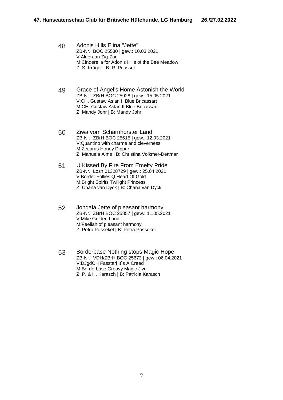- 48 Adonis Hills Elina "Jette" ZB-Nr.: BOC 25530 | gew.: 10.03.2021 V:Alderaan Zig-Zag M:Cinderella for Adonis Hills of the Bee Meadow Z: S. Krüger | B: R. Pousset
- 49 Grace of Angel's Home Astonish the World ZB-Nr.: ZBrH BOC 25928 | gew.: 15.05.2021 V:CH. Gustaw Aslan II Blue Bricassart M:CH. Gustaw Aslan II Blue Bricassart Z: Mandy Johr | B: Mandy Johr
- 50 Ziwa vom Scharnhorster Land ZB-Nr.: ZBrH BOC 25615 | gew.: 12.03.2021 V:Quantino with charme and cleverness M:Zecaras Honey Dipper Z: Manuela Alms | B: Christina Volkmer-Dettmar
- 51 U Kissed By Fire From Emelty Pride ZB-Nr.: Losh 01328729 | gew.: 25.04.2021 V:Border Follies Q Heart Of Gold M:Bright Spirits Twilight Princess Z: Chana van Dyck | B: Chana van Dyck
- 52 Jondala Jette of pleasant harmony ZB-Nr.: ZBrH BOC 25857 | gew.: 11.05.2021 V:Mike Gulden Land M:Feeliah of pleasant harmony Z: Petra Possekel | B: Petra Possekel
- 53 Borderbase Nothing stops Magic Hope ZB-Nr.: VDH/ZBrH BOC 25673 | gew.: 06.04.2021 V:DJgdCH Fasstari It`s A Creed M:Borderbase Groovy Magic Jive Z: P. & H. Karasch | B: Patricia Karasch

9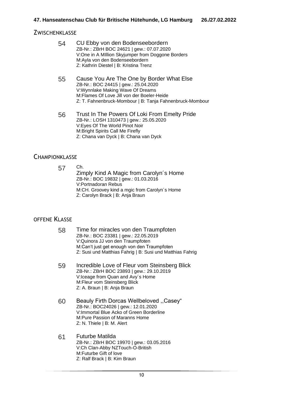#### **ZWISCHENKLASSE**

| 54 | CU Ebby von den Bodenseebordern<br>ZB-Nr.: ZBrH BOC 24621   gew.: 07.07.2020<br>V:One in A MIllion Skyjumper from Doggone Borders<br>M:Ayla von den Bodenseebordern<br>Z: Kathrin Diestel   B: Kristina Trenz                    |
|----|----------------------------------------------------------------------------------------------------------------------------------------------------------------------------------------------------------------------------------|
| 55 | Cause You Are The One by Border What Else<br>ZB-Nr.: BOC 24415   gew.: 25.04.2020<br>V: Wynnlake Making Wave Of Dreams<br>M:Flames Of Love Jill von der Boeler-Heide<br>Z: T. Fahnenbruck-Mombour   B: Tanja Fahnenbruck-Mombour |
| 56 | Trust In The Powers Of Loki From Emelty Pride<br>ZB-Nr.: LOSH 1310473   gew.: 25.05.2020<br>V: Eyes Of The World Pinot Noir<br>M: Bright Spirits Call Me Firefly<br>Z: Chana van Dyck   B: Chana van Dyck                        |

#### **CHAMPIONKLASSE**

57 Ch. Zimply Kind A Magic from Carolyn´s Home ZB-Nr.: BOC 19832 | gew.: 01.03.2016 V:Portnadoran Rebus M:CH. Groovey kind a mgic from Carolyn´s Home Z: Carolyn Brack | B: Anja Braun

- 58 Time for miracles von den Traumpfoten ZB-Nr.: BOC 23381 | gew.: 22.05.2019 V:Quinora JJ von den Traumpfoten M:Can't just get enough von den Traumpfoten Z: Susi und Matthias Fahrig | B: Susi und Matthias Fahrig
- 59 Incredible Love of Fleur vom Steinsberg Blick ZB-Nr.: ZBrH BOC 23893 | gew.: 29.10.2019 V:Iceage from Quan and Avy´s Home M:Fleur vom Steinsberg Blick Z: A. Braun | B: Anja Braun
- 60 Beauly Firth Dorcas Wellbeloved ,,Casey" ZB-Nr.: BOC24026 | gew.: 12.01.2020 V:Immortal Blue Acko of Green Borderline M:Pure Passion of Maranns Home Z: N. Thiele | B: M. Alert
- 61 Futurbe Matilda ZB-Nr.: ZBrH BOC 19970 | gew.: 03.05.2016 V:Ch Clan-Abby NZTouch-O-British M:Futurbe Gift of love Z: Ralf Brack | B: Kim Braun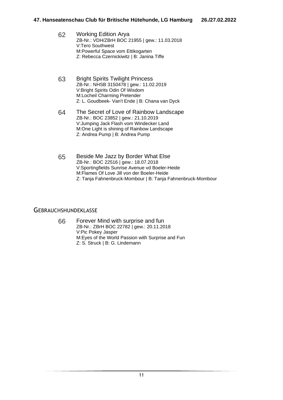| 62 | <b>Working Edition Arya</b>                   |
|----|-----------------------------------------------|
|    | ZB-Nr.: VDH/ZBrH BOC 21955   gew.: 11.03.2018 |
|    | V:Tero Southwest                              |
|    | M: Powerful Space vom Ettikogarten            |
|    | Z: Rebecca Czernickiwitz   B: Janina Tiffe    |

- 63 Bright Spirits Twilight Princess ZB-Nr.: NHSB 3150478 | gew.: 11.02.2019 V:Bright Spirits Odin Of Wisdom M:Locheil Charming Pretender Z: L. Goudbeek- Van't Ende | B: Chana van Dyck
- 64 The Secret of Love of Rainbow Landscape ZB-Nr.: BOC 23852 | gew.: 21.10.2019 V:Jumping Jack Flash vom Windecker Land M:One Light is shining of Rainbow Landscape Z: Andrea Pump | B: Andrea Pump
- 65 Beside Me Jazz by Border What Else ZB-Nr.: BOC 22516 | gew.: 18.07.2018 V:Sportingfields Sunrise Avenue vd Boeler-Heide M:Flames Of Love Jill von der Boeler-Heide Z: Tanja Fahnenbruck-Mombour | B: Tanja Fahnenbruck-Mombour

#### **GEBRAUCHSHUNDEKLASSE**

66 Forever Mind with surprise and fun ZB-Nr.: ZBrH BOC 22782 | gew.: 20.11.2018 V:Pic Pokey Jasper M:Eyes of the World Passion with Surprise and Fun Z: S. Struck | B: G. Lindemann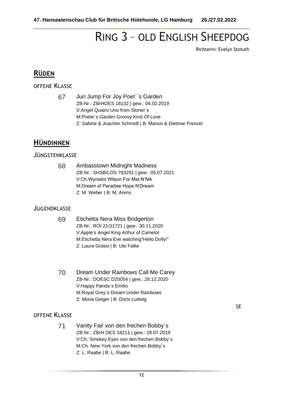# RING 3 – OLD ENGLISH SHEEPDOG

Richterin: Evelyn Stotuth

SE

## **RÜDEN**

OFFENE KLASSE

67 Juri Jump For Joy Poet``s Garden ZB-Nr.: ZBrHOES 18132 | gew.: 04.02.2019 V:Angel Quatro Uno from Stoner´s M:Poete`s Garden Groovy Kind Of Love Z: Sabine & Joachim Schmidt | B: Marion & Dietmar Frenzel

### **HÜNDINNEN**

#### JÜNGSTENKLASSE

68 Ambasstown Midnight Madness ZB-Nr.: SHSB/LOS 783291 | gew.: 05.07.2021 V:Ch.Wynsilot Wilson For Mat N'Nik M:Dream of Paradise Hope N'Dream Z: M. Weber | B: M. Arens

#### **JUGENDKLASSE**

- 69 Etichetta Nera Miss Bridgerton ZB-Nr.: ROI 21/31721 | gew.: 30.11.2020 V:Apple's Angel King Arthur of Camelot M:Etichetta Nera Eve watching"Hello Dolly!" Z: Laura Grassi | B: Ute Falke
- 70 Dream Under Rainbows Call Me Carey ZB-Nr.: DOESC D20054 | gew.: 28.12.2020 V:Happy Panda`s Emilio M:Royal Grey`s Dream Under Rainbows Z: Mona Geiger | B: Doris Ludwig

#### OFFENE KLASSE

71 Vanity Fair von den frechen Bobby`s ZB-Nr.: ZBrH OES 18211 | gew.: 28.07.2019 V:Ch. Smokey Eyes von den frechen Bobby`s M:Ch. New York von den frechen Bobby`s Z: L. Raabe | B: L. Raabe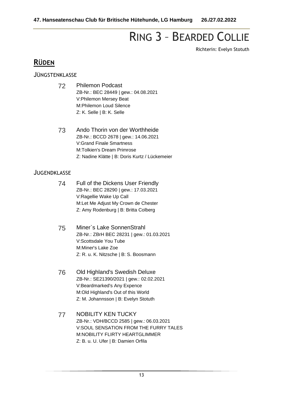# RING 3 – BEARDED COLLIE

Richterin: Evelyn Stotuth

# **RÜDEN**

#### JÜNGSTENKLASSE

- 72 Philemon Podcast ZB-Nr.: BEC 28449 | gew.: 04.08.2021 V:Philemon Mersey Beat M:Philemon Loud Silence Z: K. Selle | B: K. Selle
- 73 Ando Thorin von der Worthheide ZB-Nr.: BCCD 2678 | gew.: 14.06.2021 V:Grand Finale Smartness M:Tolkien's Dream Primrose Z: Nadine Klätte | B: Doris Kurtz / Lückemeier

- 74 Full of the Dickens User Friendly ZB-Nr.: BEC 28290 | gew.: 17.03.2021 V:Ragellie Wake Up Call M:Let Me Adjust My Crown de Chester Z: Amy Rodenburg | B: Britta Colberg
- 75 Miner`s Lake SonnenStrahl ZB-Nr.: ZBrH BEC 28231 | gew.: 01.03.2021 V:Scottsdale You Tube M:Miner's Lake Zoe Z: R. u. K. Nitzsche | B: S. Boosmann
- 76 Old Highland's Swedish Deluxe ZB-Nr.: SE21390/2021 | gew.: 02.02.2021 V:Beardmarked's Any Expence M:Old Highland's Out of this World Z: M. Johannsson | B: Evelyn Stotuth
- 77 NOBILITY KEN TUCKY ZB-Nr.: VDH/BCCD 2585 | gew.: 06.03.2021 V:SOUL SENSATION FROM THE FURRY TALES M:NOBILITY FLIRTY HEARTGLIMMER Z: B. u. U. Ufer | B: Damien Orfila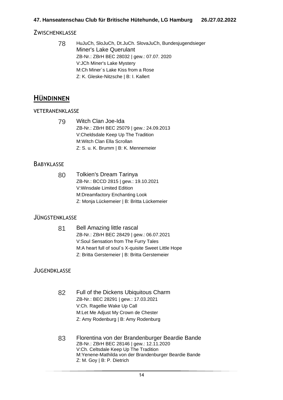#### **ZWISCHENKLASSE**

78 HuJuCh, SloJuCh, Dt.JuCh. SlovaJuCh, Bundesjugendsieger Miner's Lake Querulant ZB-Nr.: ZBrH BEC 28032 | gew.: 07.07. 2020 V:JCh Miner's Lake Mystery M:Ch Miner´s Lake Kiss from a Rose Z: K. Gleske-Nitzsche | B: I. Kallert

### **HÜNDINNEN**

#### VETERANENKLASSE

79 Witch Clan Joe-Ida ZB-Nr.: ZBrH BEC 25079 | gew.: 24.09.2013 V:Cheldsdale Keep Up The Tradition M:Witch Clan Ella Scrollan Z: S. u. K. Brumm | B: K. Mennemeier

#### **BABYKLASSE**

80 Tolkien's Dream Tarinya ZB-Nr.: BCCD 2815 | gew.: 19.10.2021 V:Winsdale Limited Edition M:Dreamfactory Enchanting Look Z: Monja Lückemeier | B: Britta Lückemeier

#### JÜNGSTENKLASSE

81 Bell Amazing little rascal ZB-Nr.: ZBrH BEC 28429 | gew.: 06.07.2021 V:Soul Sensation from The Furry Tales M:A heart full of soul`s X-quisite Sweet Little Hope Z: Britta Gerstemeier | B: Britta Gerstemeier

- 82 Full of the Dickens Ubiquitous Charm ZB-Nr.: BEC 28291 | gew.: 17.03.2021 V:Ch. Ragellie Wake Up Call M:Let Me Adjust My Crown de Chester Z: Amy Rodenburg | B: Amy Rodenburg
- 83 Florentina von der Brandenburger Beardie Bande ZB-Nr.: ZBrH BEC 28146 | gew.: 12.11.2020 V:Ch. Celtsdale Keep Up The Tradition M:Yenene-Mathilda von der Brandenburger Beardie Bande Z: M. Goy | B: P. Dietrich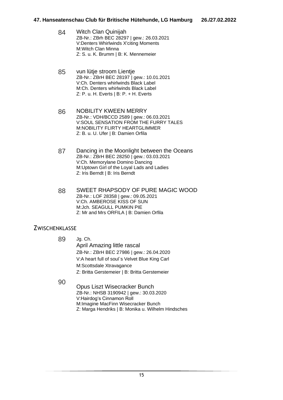- 84 Witch Clan Quinijah ZB-Nr.: ZBrh BEC 28297 | gew.: 26.03.2021 V:Denters Whirlwinds X'citing Moments M:Witch Clan Minna Z: S. u. K. Brumm | B: K. Mennemeier
- 85 vun lütje stroom Lientje ZB-Nr.: ZBrH BEC 28197 | gew.: 10.01.2021 V:Ch. Denters whirlwinds Black Label M:Ch. Denters whirlwinds Black Label Z: P. u. H. Everts | B: P. + H. Everts
- 86 NOBILITY KWEEN MERRY ZB-Nr.: VDH/BCCD 2589 | gew.: 06.03.2021 V:SOUL SENSATION FROM THE FURRY TALES M:NOBILITY FLIRTY HEARTGLIMMER Z: B. u. U. Ufer | B: Damien Orfila
- 87 Dancing in the Moonlight between the Oceans ZB-Nr.: ZBrH BEC 28250 | gew.: 03.03.2021 V:Ch. Memorylane Domino Dancing M:Uptown Girl of the Loyal Lads and Ladies Z: Iris Berndt | B: Iris Berndt
- 88 SWEET RHAPSODY OF PURE MAGIC WOOD ZB-Nr.: LOF 28358 | gew.: 09.05.2021 V:Ch. AMBEROSE KISS OF SUN M:Jch. SEAGULL PUMKIN PIE Z: Mr and Mrs ORFILA | B: Damien Orfila

#### ZWISCHENKLASSE

- 89 Jg. Ch. April Amazing little rascal ZB-Nr.: ZBrH BEC 27986 | gew.: 26.04.2020 V:A heart full of soul`s Velvet Blue King Carl M:Scottsdale Xtravagance Z: Britta Gerstemeier | B: Britta Gerstemeier
- 90
- Opus Liszt Wisecracker Bunch ZB-Nr.: NHSB 3190942 | gew.: 30.03.2020 V:Hairdog's Cinnamon Roll M:Imagine MacFinn Wisecracker Bunch Z: Marga Hendriks | B: Monika u. Wilhelm Hindsches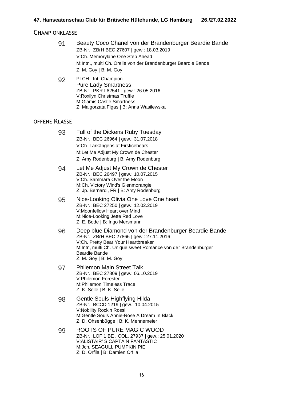#### **CHAMPIONKLASSE**

| 91 | Beauty Coco Chanel von der Brandenburger Beardie Bande        |
|----|---------------------------------------------------------------|
|    | ZB-Nr.: ZBrH BEC 27607   gew.: 18.03.2019                     |
|    | V:Ch. Memorylane One Step Ahead                               |
|    | M:Intn., multi Ch. Orelie von der Brandenburger Beardie Bande |
|    | $Z: M. Goy \mid B: M. Goy$                                    |
|    |                                                               |

92 PLCH , Int. Champion Pure Lady Smartness ZB-Nr.: PKR.I.82541 | gew.: 26.05.2016 V:Roxilyn Christmas Truffle M:Glamis Castle Smartness Z: Malgorzata Figas | B: Anna Wasilewska

#### OFFENE KI ASSE

- 93 Full of the Dickens Ruby Tuesday ZB-Nr.: BEC 26964 | gew.: 31.07.2018 V:Ch. Lärkängens at Firsticebears M:Let Me Adjust My Crown de Chester Z: Amy Rodenburg | B: Amy Rodenburg
- 94 Let Me Adjust My Crown de Chester ZB-Nr.: BEC 26497 | gew.: 10.07.2015 V:Ch. Sammara Over the Moon M:Ch. Victory Wind's Glenmorangie Z: Jp. Bernardi, FR | B: Amy Rodenburg
- 95 Nice-Looking Olivia One Love One heart ZB-Nr.: BEC 27250 | gew.: 12.02.2019 V:Moonfellow Heart over Mind M:Nice-Looking Jette Red Love Z: E. Bode | B: Ingo Mersmann
- 96 Deep blue Diamond von der Brandenburger Beardie Bande ZB-Nr.: ZBrH BEC 27866 | gew.: 27.11.2016 V:Ch. Pretty Bear Your Heartbreaker M:Intn, multi Ch. Unique sweet Romance von der Brandenburger Beardie Bande Z: M. Goy | B: M. Goy
- 97 Philemon Main Street Talk ZB-Nr.: BEC 27809 | gew.: 06.10.2019 V:Philemon Forester M:Philemon Timeless Trace Z: K. Selle | B: K. Selle
- 98 Gentle Souls Highflying Hilda ZB-Nr.: BCCD 1219 | gew.: 10.04.2015 V:Nobility Rock'n Rossi M:Gentle Souls Annie-Rose A Dream In Black Z: D. Ohsenbügge | B: K. Mennemeier
- 99 ROOTS OF PURE MAGIC WOOD ZB-Nr.: LOF 1 BE . COL. 27937 | gew.: 25.01.2020 V:ALISTAIR' S CAPTAIN FANTASTIC M:Jch. SEAGULL PUMPKIN PIE Z: D. Orfila | B: Damien Orfila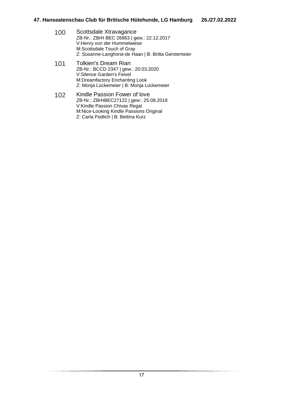- 100 Scottsdale Xtravagance ZB-Nr.: ZBrH BEC 26863 | gew.: 22.12.2017 V:Henry von der Hummelwiese M:Scottsdale Touch of Gray Z: Susanne-Langhorst-de Haan | B: Britta Gerstemeier
- 101 Tolkien's Dream Rian ZB-Nr.: BCCD 2347 | gew.: 20.03.2020 V:Silence Garden's Feivel M:Dreamfactory Enchanting Look Z: Monja Lückemeier | B: Monja Lückemeier
- 102 Kindle Passion Fower of love ZB-Nr.: ZBrHBEC27122 | gew.: 25.08.2018 V:Kindle Passion Chivas Regal M:Nice-Looking Kindle Passions Original Z: Carla Podlich | B: Bettina Kurz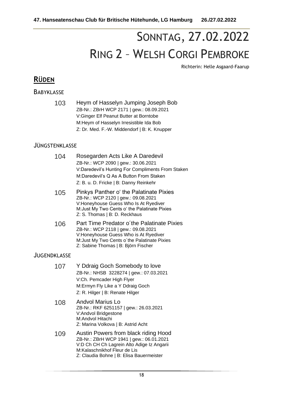# SONNTAG, 27.02.2022 RING 2 – WELSH CORGI PEMBROKE

Richterin: Helle Asgaard-Faarup

# **RÜDEN**

#### **BABYKLASSE**

103 Heym of Hasselyn Jumping Joseph Bob ZB-Nr.: ZBrH WCP 2171 | gew.: 08.09.2021 V:Ginger Elf Peanut Butter at Borntobe M:Heym of Hasselyn Irresistible Ida Bob Z: Dr. Med. F.-W. Middendorf | B: K. Knupper

#### JÜNGSTENKLASSE

| 104 | Rosegarden Acts Like A Daredevil<br>ZB-Nr.: WCP 2090   gew.: 30.06.2021<br>V:Daredevil's Hunting For Compliments From Staken<br>M:Daredevil's Q As A Button From Staken<br>Z: B. u. D. Fricke   B: Danny Reinkehr |
|-----|-------------------------------------------------------------------------------------------------------------------------------------------------------------------------------------------------------------------|
| 105 | Pinkys Panther o' the Palatinate Pixies<br>ZB-Nr.: WCP 2120   gew.: 09.08.2021<br>V:Honeyhouse Guess Who Is At Ryediver<br>M: Just My Two Cents o' the Palatinate Pixies<br>Z: S. Thomas   B: D. Reckhaus         |
| 106 | Part Time Predator o'the Palatinate Pixies<br>ZB-Nr.: WCP 2118   gew.: 09.08.2021<br>V:Honeyhouse Guess Who is At Ryediver<br>M: Just My Two Cents o'the Palatinate Pixies<br>Z: Sabine Thomas   B: Björn Fischer |

| 107 | Y Ddraig Goch Somebody to love          |
|-----|-----------------------------------------|
|     | ZB-Nr.: NHSB 3228274   gew.: 07.03.2021 |
|     | V:Ch. Pemcader High Flyer               |
|     | M: Ermyn Fly Like a Y Ddraig Goch       |
|     | Z: R. Hilger   B: Renate Hilger         |

- 108 Andvol Marius Lo ZB-Nr.: RKF 6251157 | gew.: 26.03.2021 V:Andvol Bridgestone M:Andvol Hitachi Z: Marina Volkova | B: Astrid Acht
- 109 Austin Powers from black riding Hood ZB-Nr.: ZBrH WCP 1941 | gew.: 06.01.2021 V:D Ch CH Ch Lagrein Alto Adige Iz Angarii M:Kalaschnikhof Fleur de Lis Z: Claudia Bohne | B: Elisa Bauermeister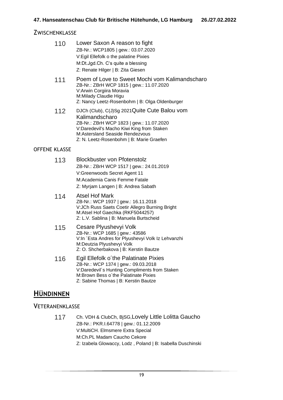#### **ZWISCHENKLASSE**

| 110                  | Lower Saxon A reason to fight<br>ZB-Nr.: WCP1805   gew.: 03.07.2020<br>V:Egil Ellefolk o the palatine Pixies<br>M:Dt.Jgd.Ch. C's quite a blessing<br>Z: Renate Hilger   B: Zita Giesen                                                 |
|----------------------|----------------------------------------------------------------------------------------------------------------------------------------------------------------------------------------------------------------------------------------|
| 111                  | Poem of Love to Sweet Mochi vom Kalimandscharo<br>ZB-Nr.: ZBrH WCP 1815   gew.: 11.07.2020<br>V: Arwin Corgiira Moravia<br>M:Milady Claudie Higu<br>Z: Nancy Leetz-Rosenbohm   B: Olga Oldenburger                                     |
| 112                  | DJCh (Club), C(J)Sg 2021Quite Cute Balou vom<br>Kalimandscharo<br>ZB-Nr.: ZBrH WCP 1823   gew.: 11.07.2020<br>V:Daredevil's Macho Kiwi King from Staken<br>M:Astersland Seaside Rendezvous<br>Z: N. Leetz-Rosenbohm   B: Marie Graefen |
| <b>OFFENE KLASSE</b> |                                                                                                                                                                                                                                        |

#### 113 Blockbuster von Pfotenstolz ZB-Nr.: ZBrH WCP 1517 | gew.: 24.01.2019 V:Greenwoods Secret Agent 11 M:Academia Canis Femme Fatale Z: Myrjam Langen | B: Andrea Sabath

- 114 Atsel Hof Mark ZB-Nr.: WCP 1937 | gew.: 16.11.2018 V:JCh Russ Saets Coetir Allegro Burning Bright M:Atsel Hof Gaechka (RKF5044257) Z: L.V. Sablina | B: Manuela Burtscheid
- 115 Cesare Plyushevyi Volk ZB-Nr.: WCP 1685 | gew.: 43586 V:In ´Esta Andres for Plyushevyi Volk Iz Lehvanzhi M:Deutzia Plyushevyi Volk Z: O. Shcherbakova | B: Kerstin Bautze
- 116 Egil Ellefolk o´the Palatinate Pixies ZB-Nr.: WCP 1374 | gew.: 09.03.2018 V:Daredevil´s Hunting Compliments from Staken M: Brown Bess o'the Palatinate Pixies Z: Sabine Thomas | B: Kerstin Bautze

### **HÜNDINNEN**

#### **VETERANENKLASSE**

117 Ch. VDH & ClubCh, BjSG,Lovely Little Lolitta Gaucho ZB-Nr.: PKR.I.64778 | gew.: 01.12.2009 V:MultiCH. Elmsmere Extra Special M:Ch.PL Madam Caucho Cekore Z: Izabela Glowaccy, Lodz , Poland | B: Isabella Duschinski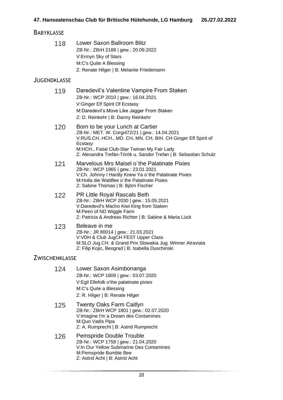#### **BABYKLASSE**

118 Lower Saxon Ballroom Blitz ZB-Nr.: ZBrH 2188 | gew.: 20.09.2022 V:Ermyn Sky of Stars M:C's Quite A Blessing Z: Renate Hilger | B: Melaniie Friedemann

#### JUGENDKLASSE

- 119 Daredevil's Valentine Vampire From Staken ZB-Nr.: WCP 2010 | gew.: 16.04.2021 V:Ginger Elf Spirit Of Ecstasy M:Daredevil's Move Like Jagger From Staken Z: D. Reinkehr | B: Danny Reinkehr
- 120 Born to be your Lunch at Cartier ZB-Nr.: MET. W. Corgi472/21 | gew.: 14.04.2021 V:RUS.CH, HCH., MD. CH, MN. CH, BIH. CH Ginger Elf Spirit of Ecstasy M:HCH., Fiatal Club-Star Twinan My Fair Lady Z: Alexandra Trefán-Török u. Sandor Trefan | B: Sebastian Schulz
- 121 Marvelous Mrs Maisel o´the Palatinate Pixies ZB-Nr.: WCP 1965 | gew.: 23.01.2021 V:Ch. Johnny I Hardly Knew Ya o´the Palatinate Pixies M:Holla die Waldfee o´the Palatinate Pixies Z: Sabine Thomas | B: Björn Fischer
- 122 PR Little Royal Rascals Beth ZB-Nr.: ZBrH WCP 2030 | gew.: 15.05.2021 V:Daredevil's Macho Kiwi King from Staken M:Peeri of ND Wiggle Farm Z: Patricia & Andreas Richter | B: Sabine & Maria Lück
- 123 Beleave in me ZB-Nr.: JR 80014 | gew.: 21.03.2021 V:VDH & Club JugCH FEST Upper Class M:SLO Jug.CH. & Grand Prix Slowakia Jug. Winner Atraviata Z: Filip Kojic, Beograd | B: Isabella Duschinski

#### ZWISCHENKLASSE

- 124 Lower Saxon Asimbonanga ZB-Nr.: WCP 1809 | gew.: 03.07.2020 V:Egil Ellefolk o'the palatinate pixies M:C's Quite a Blessing Z: R. Hilger | B: Renate Hilger
- 125 Twenty Oaks Farm Caitlyn ZB-Nr.: ZBrH WCP 1801 | gew.: 02.07.2020 V:Imagine I'm a Dream des Contamines M:Quo Vadis Pipa Z: A. Rumprecht | B: Astrid Rumprecht
- 126 Pemspride Double Trouble ZB-Nr.: WCP 1758 | gew.: 21.04.2020 V:In Our Yellow Submarine Des Contamines M:Pemspride Bumble Bee Z: Astrid Acht | B: Astrid Acht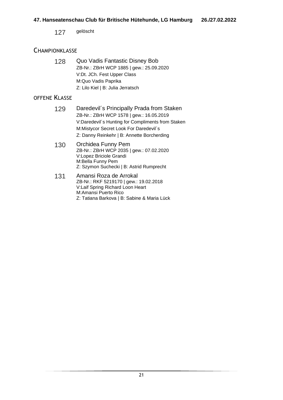127 gelöscht

#### **CHAMPIONKLASSE**

128 Quo Vadis Fantastic Disney Bob ZB-Nr.: ZBrH WCP 1885 | gew.: 25.09.2020 V:Dt. JCh. Fest Upper Class M:Quo Vadis Paprika Z: Lilo Kiel | B: Julia Jerratsch

- 129 Daredevil's Principally Prada from Staken ZB-Nr.: ZBrH WCP 1578 | gew.: 16.05.2019 V:Daredevil´s Hunting for Compliments from Staken M:Mistycor Secret Look For Daredevil´s Z: Danny Reinkehr | B: Annette Borcherding
- 130 Orchidea Funny Pem ZB-Nr.: ZBrH WCP 2035 | gew.: 07.02.2020 V:Lopez Briciole Grandi M:Bella Funny Pem Z: Szymon Suchecki | B: Astrid Rumprecht
- 131 Amansi Roza de Arrokal ZB-Nr.: RKF 5219170 | gew.: 19.02.2018 V:Laif Spring Richard Loon Heart M:Amansi Puerto Rico Z: Tatiana Barkova | B: Sabine & Maria Lück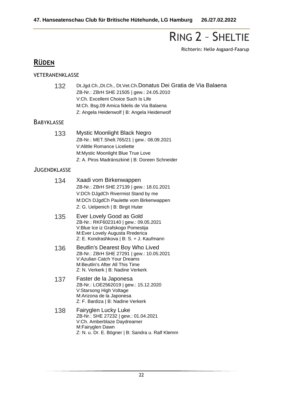# RING 2 – SHELTIE

Richterin: Helle Asgaard-Faarup

# **RÜDEN**

#### VETERANENKLASSE

| 132 | Dt.Jgd.Ch., Dt.Ch., Dt.Vet.Ch.Donatus Dei Gratia de Via Balaena |
|-----|-----------------------------------------------------------------|
|     | ZB-Nr.: ZBrH SHE 21505   gew.: 24.05.2010                       |
|     | V:Ch. Excellent Choice Such Is Life                             |
|     | M:Ch. Bsg.09 Amica fidelis de Via Balaena                       |
|     | Z: Angela Heidenwolf   B: Angela Heidenwolf                     |

#### **BABYKLASSE**

| 133 | Mystic Moonlight Black Negro                   |
|-----|------------------------------------------------|
|     | ZB-Nr.: MET.Shelt.765/21   gew.: 08.09.2021    |
|     | V:Alittle Romance Liceliette                   |
|     | M: Mystic Moonlight Blue True Love             |
|     | Z: A. Piros Madránszkiné   B: Doreen Schneider |

| 134 | Xaadi vom Birkenwappen<br>ZB-Nr.: ZBrH SHE 27139   gew.: 18.01.2021<br>V:DCh DJgdCh Rivermist Stand by me<br>M:DCh DJgdCh Paulette vom Birkenwappen<br>Z: G. Uelpenich   B: Birgit Huter |
|-----|------------------------------------------------------------------------------------------------------------------------------------------------------------------------------------------|
| 135 | Ever Lovely Good as Gold<br>ZB-Nr.: RKF6023140   gew.: 09.05.2021<br>V:Blue Ice iz Grafskogo Pomestija<br>M: Ever Lovely Augusta Rrederica<br>Z: E. Kondrashkova   B: S. + J. Kaufmann   |
| 136 | Beutlin's Dearest Boy Who Lived<br>ZB-Nr.: ZBrH SHE 27291   gew.: 10.05.2021<br>V:Azulian Catch Your Dreams<br>M:Beutlin's After All This Time<br>Z: N. Verkerk   B: Nadine Verkerk      |
| 137 | Faster de la Japonesa<br>ZB-Nr.: LOE2562019   gew.: 15.12.2020<br>V:Starsong High Voltage<br>M:Arizona de la Japonesa<br>Z: F. Bardiza   B: Nadine Verkerk                               |
| 138 | Fairyglen Lucky Luke<br>ZB-Nr.: SHE 27232   gew.: 01.04.2021<br>V:Ch. Amberblaze Daydreamer<br>M:Fairyglen Dawn                                                                          |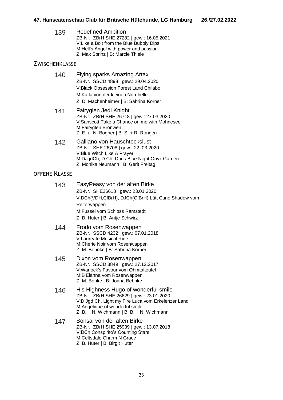139 Redefined Ambition ZB-Nr.: ZBrH SHE 27282 | gew.: 16.05.2021 V:Like a Bolt from the Blue Bubbly Dips M:Hell's Angel with power and passion Z: Max Sprinz | B: Marcie Thiele

#### **ZWISCHENKLASSE**

| Flying sparks Amazing Artax                  |
|----------------------------------------------|
| ZB-Nr.: SSCD 4898   gew.: 29.04.2020         |
| <b>V:Black Obsession Forest Land Chilabo</b> |
| M:Katla von der kleinen Nordhelle            |
| Z: D. Machenheimer   B: Sabrina Körner       |
|                                              |

- 141 Fairyglen Jedi Knight ZB-Nr.: ZBrH SHE 26718 | gew.: 27.03.2020 V:Sanscott Take a Chance on me with Mohnesee M:Fairyglen Bronwen Z: E. u. N. Bögner | B: S. + R. Rongen
- 142 Galliano von Hauschteckslust ZB-Nr.: SHE 26708 | gew.: 22..03.2020 V:Blue Witch Like A Prayer M:DJgdCh, D.Ch. Doris Blue Night Onyx Garden Z: Monika Neumann | B: Gerit Freitag

| 143 | EasyPeasy von der alten Birke                      |
|-----|----------------------------------------------------|
|     | ZB-Nr.: SHE26618   gew.: 23.01.2020                |
|     | V:DCh(VDH,CfBrH), DJCh(CfBrH) Lütt Cuno Shadow vom |
|     | Reiterwappen                                       |
|     | M:Fussel vom Schloss Ramstedt                      |
|     | Z: B. Huter   B: Antie Schwirz                     |

- 144 Frodo vom Rosenwappen ZB-Nr.: SSCD 4232 | gew.: 07.01.2018 V:Laureate Musical Ride M:Chérie Noir vom Rosenwappen Z: M. Behnke | B: Sabrina Körner
- 145 Dixon vom Rosenwappen ZB-Nr.: SSCD 3849 | gew.: 27.12.2017 V:Warlock's Favour vom Ohmtalteufel M:B'Elanna vom Rosenwappen Z: M. Benke | B: Joana Behnke
- 146 His Highness Hugo of wonderful smile ZB-Nr.: ZBrH SHE 26629 | gew.: 23.01.2020 V:D Jgd Ch. Light my Fire Luca vom Erkelenzer Land M:Angelique of wonderful smile Z: B. + N. Wichmann | B: B. + N. Wichmann
- 147 Bonsai von der alten Birke ZB-Nr.: ZBrH SHE 25939 | gew.: 13.07.2018 V:DCh Conspirito's Counting Stars M:Celtsdale Charm N Grace Z: B. Huter | B: Birgit Huter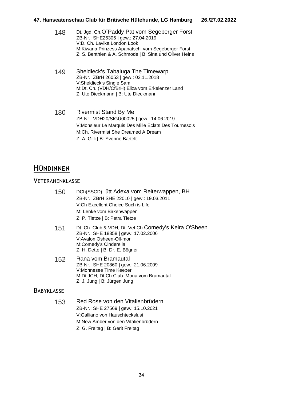#### **47. Hanseatenschau Club für Britische Hütehunde, LG Hamburg 26./27.02.2022**

| 148 | Dt. Jgd. Ch.O'Paddy Pat vom Segeberger Forst           |
|-----|--------------------------------------------------------|
|     | ZB-Nr.: SHE26306   gew.: 27.04.2019                    |
|     | V:D. Ch. Lavika London Look                            |
|     | M:Kiwana Prinzess Apanatschi vom Segeberger Forst      |
|     | Z: S. Benthien & A. Schmode   B: Sina und Oliver Heins |
|     |                                                        |

- 149 Sheldieck's Tabaluga The Timewarp ZB-Nr.: ZBrH 26053 | gew.: 02.11.2018 V:Sheldieck's Single Sam M:Dt. Ch. (VDH/CfBrH) Eliza vom Erkelenzer Land Z: Ute Dieckmann | B: Ute Dieckmann
- 180 Rivermist Stand By Me ZB-Nr.: VDH20/SIGÜ00025 | gew.: 14.06.2019 V:Monsieur Le Marquis Des Mille Eclats Des Tournesols M:Ch. Rivermist She Dreamed A Dream Z: A. Gilli | B: Yvonne Bartelt

# **HÜNDINNEN**

### **VETERANENKLASSE**

| 150               | DCh(SSCD) Lütt Adexa vom Reiterwappen, BH<br>ZB-Nr.: ZBrH SHE 22010   gew.: 19.03.2011<br>V:Ch Excellent Choice Such is Life<br>M: Lenke vom Birkenwappen<br>Z: P. Tietze   B: Petra Tietze |
|-------------------|---------------------------------------------------------------------------------------------------------------------------------------------------------------------------------------------|
| 151               | Dt. Ch. Club & VDH, Dt. Vet.Ch.Comedy's Keira O'Sheen<br>ZB-Nr.: SHE 18358   gew.: 17.02.2006<br>V:Avalon Osheen-Oll-mor<br>M:Comedy's Cinderella<br>Z: H. Dette   B: Dr. E. Bögner         |
| 152               | Rana vom Bramautal<br>ZB-Nr.: SHE 20860   gew.: 21.06.2009<br>V:Mohnesee Time Keeper<br>M:Dt.JCH, Dt.Ch.Club. Mona vom Bramautal<br>Z: J. Jung   B: Jürgen Jung                             |
| <b>BABYKLASSE</b> |                                                                                                                                                                                             |
| 153               | Red Rose von den Vitalienbrüdern<br>ZB-Nr.: SHE 27569   gew.: 15.10.2021<br>V:Galliano von Hauschteckslust<br>M:New Amber von den Vitalienbrüdern                                           |

Z: G. Freitag | B: Gerit Freitag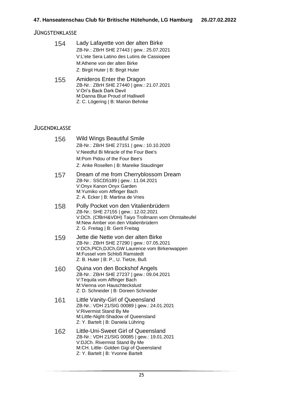#### JÜNGSTENKLASSE

| 154 | Lady Lafayette von der alten Birke          |
|-----|---------------------------------------------|
|     | ZB-Nr.: ZBrH SHE 27443   gew.: 25.07.2021   |
|     | V:L'ete Sera Latino des Lutins de Cassiopee |
|     | M:Athene von der alten Birke                |
|     | Z: Birgit Huter   B: Birgit Huter           |

155 Amideros Enter the Dragon ZB-Nr.: ZBrH SHE 27440 | gew.: 21.07.2021 V:Ori's Back Dark Devil M:Danna Blue Proud of Halliwell Z: C. Lögering | B: Marion Behnke

| 156 | <b>Wild Wings Beautiful Smile</b><br>ZB-Nr.: ZBrH SHE 27151   gew.: 10.10.2020<br>V: Needful Bi Miracle of the Four Bee's<br>M:Pom Pidou of the Four Bee's<br>Z: Anke Rosellen   B: Mareike Staudinger         |
|-----|----------------------------------------------------------------------------------------------------------------------------------------------------------------------------------------------------------------|
| 157 | Dream of me from Cherryblossom Dream<br>ZB-Nr.: SSCD5189   gew.: 11.04.2021<br>V:Onyx Kanon Onyx Garden<br>M: Yumiko vom Affinger Bach<br>Z: A. Ecker   B: Martina de Vries                                    |
| 158 | Polly Pocket von den Vitalienbrüdern<br>ZB-Nr.: SHE 27155   gew.: 12.02.2021<br>V:DCh. (CfBrH&VDH) Taiyo Trollmann vom Ohmtalteufel<br>M:New Amber von den Vitalienbrüdern<br>Z: G. Freitag   B: Gerit Freitag |
| 159 | Jette die Nette von der alten Birke<br>ZB-Nr.: ZBrH SHE 27290   gew.: 07.05.2021<br>V:DCh, PICh, DJCh, GW Laurence vom Birkenwappen<br>M:Fussel vom Schloß Ramstedt<br>Z: B. Huter   B: P., U. Tietze, Buß     |
| 160 | Quina von den Bockshof Angels<br>ZB-Nr.: ZBrH SHE 27237   gew.: 09.04.2021<br>V:Tequila vom Affinger Bach<br>M: Vienna von Hauschteckslust<br>Z: D. Schneider   B: Doreen Schneider                            |
| 161 | Little Vanity-Girl of Queensland<br>ZB-Nr.: VDH 21/SIG 00089   gew.: 24.01.2021<br>V:Rivermist Stand By Me<br>M:Little-Night-Shadow of Queensland<br>Z: Y. Bartelt   B: Daniela Lühring                        |
| 162 | Little-Uni-Sweet Girl of Queensland<br>ZB-Nr.: VDH 21/SIG 00085   gew.: 19.01.2021<br>V:DJCh. Rivermist Stand By Me<br>M:CH. Little- Golden Gigi of Queensland<br>Z: Y. Bartelt   B: Yvonne Bartelt            |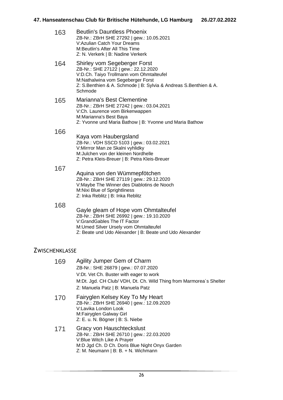| 163 | <b>Beutlin's Dauntless Phoenix</b><br>ZB-Nr.: ZBrH SHE 27292   gew.: 10.05.2021<br><b>V:Azulian Catch Your Dreams</b><br>M: Beutlin's After All This Time<br>Z: N. Verkerk   B: Nadine Verkerk                                       |
|-----|--------------------------------------------------------------------------------------------------------------------------------------------------------------------------------------------------------------------------------------|
| 164 | Shirley vom Segeberger Forst<br>ZB-Nr.: SHE 27122   gew.: 22.12.2020<br>V:D.Ch. Taiyo Trollmann vom Ohmtalteufel<br>M:Nathalwina vom Segeberger Forst<br>Z: S.Benthien & A. Schmode   B: Sylvia & Andreas S.Benthien & A.<br>Schmode |
| 165 | Marianna's Best Clementine<br>ZB-Nr.: ZBrH SHE 27242   gew.: 03.04.2021<br>V:Ch. Laurence vom Birkenwappen<br>M:Marianna's Best Baya<br>Z: Yvonne und Maria Bathow   B: Yvonne und Maria Bathow                                      |
| 166 | Kaya vom Haubergsland<br>ZB-Nr.: VDH SSCD 5103   gew.: 03.02.2021<br>V:Mirrror Man ze Skalni vyhlidky<br>M: Julchen von der kleinen Nordhelle<br>Z: Petra Kleis-Breuer   B: Petra Kleis-Breuer                                       |
| 167 | Aquina von den Wümmepfötchen<br>ZB-Nr.: ZBrH SHE 27119   gew.: 29.12.2020<br>V:Maybe The Winner des Diablotins de Nooch<br>M:Nixi Blue of Sprightliness<br>Z: Inka Reblitz   B: Inka Reblitz                                         |
| 168 | Gayle gleam of Hope vom Ohmtalteufel<br>ZB-Nr.: ZBrH SHE 26992   gew.: 19.10.2020<br>V:GrandGables The IT Factor<br>M: Umed Silver Ursely vom Ohmtalteufel                                                                           |

### Z: Beate und Udo Alexander | B: Beate und Udo Alexander

### **ZWISCHENKLASSE**

| 169 | Agility Jumper Gem of Charm                                         |
|-----|---------------------------------------------------------------------|
|     | ZB-Nr.: SHE 26879   gew.: 07.07.2020                                |
|     | V: Dt. Vet Ch. Buster with eager to work                            |
|     | M:Dt. Jgd. CH Club/ VDH, Dt. Ch. Wild Thing from Marmorea's Shelter |
|     | Z: Manuela Patz   B: Manuela Patz                                   |
| 170 | Fairvolen Kelsey Key To My Heart                                    |

- 170 Fairyglen Kelsey Key To My Heart ZB-Nr.: ZBrH SHE 26940 | gew.: 12.09.2020 V:Lavika London Look M:Fairyglen Galway Girl Z: E. u. N. Bögner | B: S. Niebe
- 171 Gracy von Hauschteckslust ZB-Nr.: ZBrH SHE 26710 | gew.: 22.03.2020 V:Blue Witch Like A Prayer M:D Jgd Ch. D Ch. Doris Blue Night Onyx Garden Z: M. Neumann | B: B. + N. Wichmann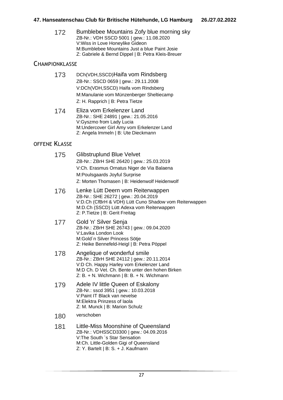172 Bumblebee Mountains Zofy blue morning sky ZB-Nr.: VDH SSCD 5001 | gew.: 11.08.2020 V:Wiss in Love Honeylike Gideon M:Bumblebee Mountains Just a blue Paint Josie Z: Gabriele & Bernd Dippel | B: Petra Kleis-Breuer

#### **CHAMPIONKLASSE**

- 173 DCh(VDH,SSCD)Haifa vom Rindsberg ZB-Nr.: SSCD 0659 | gew.: 29.11.2008 V:DCh(VDH,SSCD) Haifa vom Rindsberg M:Manulanie vom Münzenberger Sheltiecamp Z: H. Rapprich | B: Petra Tietze
- 174 Eliza vom Erkelenzer Land ZB-Nr.: SHE 24891 | gew.: 21.05.2016 V:Gyszmo from Lady Lucia M:Undercover Girl Amy vom Erkelenzer Land Z: Angela Immeln | B: Ute Dieckmann

- 175 Glibstruplund Blue Velvet ZB-Nr.: ZBrH SHE 26420 | gew.: 25.03.2019 V:Ch. Erasmus Ornatus Niger de Via Balaena M:Poulsgaards Joyful Surprise Z: Morten Thomasen | B: Heidenwolf Heidenwolf
- 176 Lenke Lütt Deern vom Reiterwappen ZB-Nr.: SHE 26272 | gew.: 20.04.2019 V:D.Ch (CfBrH & VDH) Lütt Cuno Shadow vom Reiterwappen M:D.Ch (SSCD) Lütt Adexa vom Reiterwappen Z: P.Tietze | B: Gerit Freitag
- 177 Gold 'n' Silver Senja ZB-Nr.: ZBrH SHE 26743 | gew.: 09.04.2020 V:Lavika London Look M:Gold´n Silver Princess Sötje Z: Heike Bennefeld-Heigl | B: Petra Pöppel
- 178 Angelique of wonderful smile ZB-Nr.: ZBrH SHE 24112 | gew.: 20.11.2014 V:D Ch. Happy Harley vom Erkelenzer Land M:D Ch. D Vet. Ch. Bente unter den hohen Birken  $Z: B. + N.$  Wichmann | B: B. + N. Wichmann
- 179 Adele IV little Queen of Eskalony ZB-Nr.: sscd 3951 | gew.: 10.03.2018 V:Paint IT Black van nevelse M:Elektra Prinzess of laola Z: M. Munck | B: Marion Schulz
- 180 verschoben
- 181 Little-Miss Moonshine of Queensland ZB-Nr.: VDHSSCD3300 | gew.: 04.09.2016 V:The South `s Star Sensation M:Ch. Little-Golden Gigi of Queensland Z: Y. Bartelt | B: S. + J. Kaufmann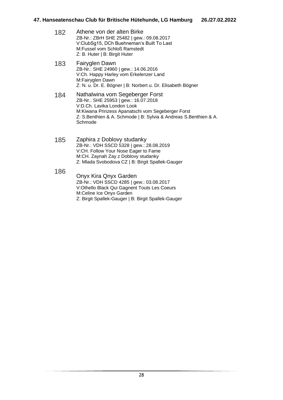- 182 Athene von der alten Birke ZB-Nr.: ZBrH SHE 25482 | gew.: 09.08.2017 V:ClubSg15, DCh Buehneman's Built To Last M:Fussel vom Schloß Ramstedt Z: B. Huter | B: Birgit Huter
- 183 Fairyglen Dawn ZB-Nr.: SHE 24960 | gew.: 14.06.2016 V:Ch. Happy Harley vom Erkelenzer Land M:Fairyglen Dawn Z: N. u. Dr. E. Bögner | B: Norbert u. Dr. Elisabeth Bögner
- 184 Nathalwina vom Segeberger Forst ZB-Nr.: SHE 25953 | gew.: 16.07.2018 V:D.Ch. Lavika London Look M:Kiwana Prinzess Apanatschi vom Segeberger Forst Z: S.Benthien & A. Schmode | B: Sylvia & Andreas S.Benthien & A. **Schmode**
- 185 Zaphira z Doblovy studanky ZB-Nr.: VDH SSCD 5328 | gew.: 28.08.2019 V:CH. Follow Your Nose Eager to Fame M:CH. Zaynah Zay z Doblovy studanky Z: Mlada Svobodova CZ | B: Birgit Spallek-Gauger
- 186 Onyx Kira Qnyx Garden ZB-Nr.: VDH SSCD 4285 | gew.: 03.08.2017 V:Othello Black Qui Gagnent Touts Les Coeurs M:Celine Ice Onyx Garden Z: Birgit Spallek-Gauger | B: Birgit Spallek-Gauger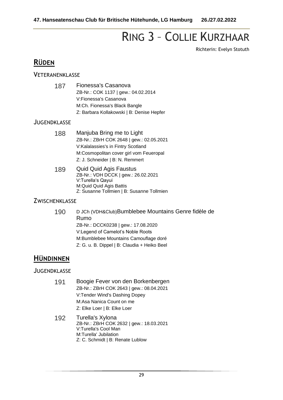# RING 3 – COLLIE KURZHAAR

Richterin: Evelyn Stotuth

## **RÜDEN**

#### **VETERANENKLASSE**

| 187 | Fionessa's Casanova                       |
|-----|-------------------------------------------|
|     | ZB-Nr.: COK 1137   gew.: 04.02.2014       |
|     | V:Fionessa's Casanova                     |
|     | M:Ch. Fionessa's Black Bangle             |
|     | Z: Barbara Kollakowski   B: Denise Hepfer |

#### **JUGENDKLASSE**

| 188 | Manjuba Bring me to Light                |
|-----|------------------------------------------|
|     | ZB-Nr.: ZBrH COK 2648   gew.: 02.05.2021 |
|     | V:Kalalassies's in Fintry Scotland       |
|     | M:Cosmopolitan cover girl vom Feueropal  |
|     | Z: J. Schneider   B: N. Remmert          |
|     |                                          |

189 Quid Quid Agis Faustus ZB-Nr.: VDH DCCK | gew.: 26.02.2021 V:Turella's Qayui M:Quid Quid Agis Battis Z: Susanne Tollmien | B: Susanne Tollmien

#### **ZWISCHENKLASSE**

190 D JCh (VDH&Club)Bumblebee Mountains Genre fidèle de Rumo ZB-Nr.: DCCK0238 | gew.: 17.08.2020 V:Legend of Camelot's Noble Roots M:Bumblebee Mountains Camouflage doré Z: G. u. B. Dippel | B: Claudia + Heiko Beel

# **HÜNDINNEN**

- 191 Boogie Fever von den Borkenbergen ZB-Nr.: ZBrH COK 2643 | gew.: 08.04.2021 V:Tender Wind's Dashing Dopey M:Asa Nanica Count on me Z: Elke Loer | B: Elke Loer
- 192 Turella's Xylona ZB-Nr.: ZBrH COK 2632 | gew.: 18.03.2021 V:Turella's Cool Man M:Turella' Jubilation Z: C. Schmidt | B: Renate Lublow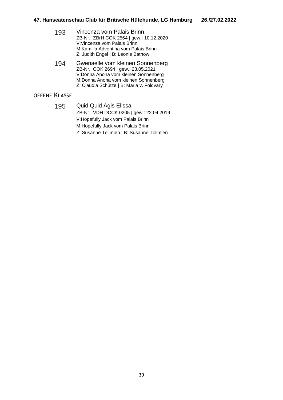| 193 | Vincenza vom Palais Brinn                |
|-----|------------------------------------------|
|     | ZB-Nr.: ZBrH COK 2564   gew.: 10.12.2020 |
|     | V: Vincenza vom Palais Brinn             |
|     | M: Kamilla Adventina vom Palais Brinn    |
|     | Z: Judith Engel   B: Leonie Bathow       |

194 Gwenaelle vom kleinen Sonnenberg ZB-Nr.: COK 2694 | gew.: 23.05.2021 V:Donna Anona vom kleinen Sonnenberg M:Donna Anona vom kleinen Sonnenberg Z: Claudia Schütze | B: Maria v. Földvary

#### OFFENE KLASSE

195 Quid Quid Agis Elissa ZB-Nr.: VDH DCCK 0205 | gew.: 22.04.2019 V:Hopefully Jack vom Palais Brinn M:Hopefully Jack vom Palais Brinn Z: Susanne Tollmien | B: Susanne Tollmien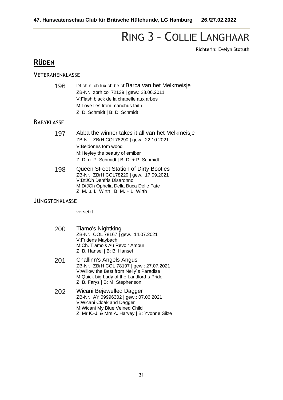# RING 3 – COLLIE LANGHAAR

Richterin: Evelyn Stotuth

## **RÜDEN**

#### **VETERANENKLASSE**

| 196 | Dt ch ni ch lux ch be chBarca van het Melkmeisje |
|-----|--------------------------------------------------|
|     | ZB-Nr.: zbrh col 72139   gew.: 28.06.2011        |
|     | V:Flash black de la chapelle aux arbes           |
|     | M:Love lies from manchus faith                   |
|     | Z: D. Schmidt   B: D. Schmidt                    |

#### **BABYKLASSE**

| 197 | Abba the winner takes it all van het Melkmeisje |
|-----|-------------------------------------------------|
|     | ZB-Nr.: ZBrH COL78290   gew.: 22.10.2021        |
|     | V:Beldones tom wood                             |
|     | M: Heyley the beauty of emiber                  |
|     | Z: D. u. P. Schmidt   B: D. + P. Schmidt        |

198 Queen Street Station of Dirty Booties ZB-Nr.: ZBrH COL78220 | gew.: 17.09.2021 V:DtJCh Denfris Disaronno M:DtJCh Ophelia Della Buca Delle Fate Z: M. u. L. Wirth | B: M. + L. Wirth

#### JÜNGSTENKLASSE

versetzt

- 200 Tiamo's Nightking ZB-Nr.: COL 78167 | gew.: 14.07.2021 V:Fridens Maybach M:Ch. Tiamo's Au Revoir Amour Z: B. Hansel | B: B. Hansel
- 201 Challinn's Angels Angus ZB-Nr.: ZBrH COL 78197 | gew.: 27.07.2021 V:Willow the Best from Nelly`s Paradise M:Quick big Lady of the Landlord`s Pride Z: B. Farys | B: M. Stephenson
- 202 Wicani Bejewelled Dagger ZB-Nr.: AY 09996302 | gew.: 07.06.2021 V:Wicani Cloak and Dagger M:Wicani My Blue Veined Child Z: Mr K.-J. & Mrs A. Harvey | B: Yvonne Silze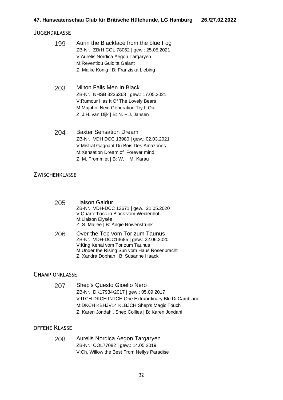#### **JUGENDKLASSE**

| 199 | Aurin the Blackface from the blue Fog     |
|-----|-------------------------------------------|
|     | ZB-Nr.: ZBrH COL 78062   gew.: 25.05.2021 |
|     | V: Aurelis Nordica Aegon Targaryen        |
|     | M:Reventlou Guidita Galant                |
|     | Z: Maike König   B: Franziska Liebing     |
|     |                                           |
|     |                                           |

- 203 Milton Falls Men In Black ZB-Nr.: NHSB 3236368 | gew.: 17.05.2021 V:Rumour Has It Of The Lovely Bears M:Majohof Next Generation Try It Out Z: J.H. van Dijk | B: N. + J. Jansen
- 204 Baxter Sensation Dream ZB-Nr.: VDH DCC 13980 | gew.: 02.03.2021 V:Mistral Gagnant Du Bois Des Amazones M:Xensation Dream of Forever mind Z: M. Frommlet | B: W. + M. Karau

#### **ZWISCHENKLASSE**

- 205 Liaison Galdur ZB-Nr.: VDH-DCC 13671 | gew.: 21.05.2020 V:Quarterback in Black vom Weidenhof M:Liaison Elysée Z: S. Mallée | B: Angie Röwenstrunk
- 206 Over the Top vom Tor zum Taunus ZB-Nr.: VDH-DCC13685 | gew.: 22.06.2020 V:King Kenai vom Tor zum Taunus M:Under the Rising Sun vom Haus Rosenpracht Z: Xandra Dobhan | B: Susanne Haack

#### CHAMPIONKI ASSF

| 207 | Shep's Questo Gioello Nero                          |
|-----|-----------------------------------------------------|
|     | ZB-Nr.: DK17934/2017   gew.: 05.09.2017             |
|     | V:ITCH DKCH INTCH One Extraordinary Blu Di Cambiano |
|     | M:DKCH KBHJV14 KLBJCH Shep's Magic Touch            |
|     | Z: Karen Jondahl, Shep Collies   B: Karen Jondahl   |

#### OFFENE KLASSE

208 Aurelis Nordica Aegon Targaryen ZB-Nr.: COL77082 | gew.: 14.05.2019 V:Ch. Willow the Best From Nellys Paradise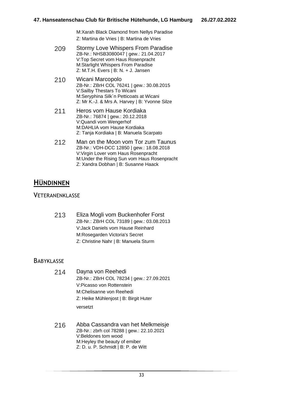M:Xarah Black Diamond from Nellys Paradise Z: Martina de Vries | B: Martina de Vries

- 209 Stormy Love Whispers From Paradise ZB-Nr.: NHSB3080047 | gew.: 21.04.2017 V:Top Secret vom Haus Rosenpracht M:Starlight Whispers From Paradise Z: M.T.H. Evers  $| B: N. + J.$  Jansen
- 210 Wicani Marcopolo ZB-Nr.: ZBrH COL 76241 | gew.: 30.08.2015 V:Sailby Thestars To Wicani M:Seryphina Silk´n Petticoats at Wicani Z: Mr K.-J. & Mrs A. Harvey | B: Yvonne Silze
- 211 Heros vom Hause Kordiaka ZB-Nr.: 76874 | gew.: 20.12.2018 V:Quandi vom Wengerhof M:DAHLIA vom Hause Kordiaka Z: Tanja Kordiaka | B: Manuela Scarpato
- 212 Man on the Moon vom Tor zum Taunus ZB-Nr.: VDH-DCC 12850 | gew.: 18.08.2018 V:Virgin Lover vom Haus Rosenpracht M:Under the Rising Sun vom Haus Rosenpracht Z: Xandra Dobhan | B: Susanne Haack

# **HÜNDINNEN**

#### **VETERANENKLASSE**

213 Eliza Mogli vom Buckenhofer Forst ZB-Nr.: ZBrH COL 73189 | gew.: 03.08.2013 V:Jack Daniels vom Hause Reinhard M:Rosegarden Victoria's Secret Z: Christine Nahr | B: Manuela Sturm

#### **BABYKLASSE**

- 214 Dayna von Reehedi ZB-Nr.: ZBrH COL 78234 | gew.: 27.09.2021 V:Picasso von Rottenstein M:Chelisanne von Reehedi Z: Heike Mühlenjost | B: Birgit Huter versetzt
- 216 Abba Cassandra van het Melkmeisje ZB-Nr.: zbrh col 78288 | gew.: 22.10.2021 V:Beldones tom wood M:Heyley the beauty of emiber Z: D. u. P. Schmidt | B: P. de Witt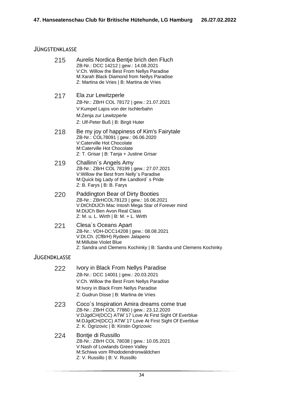#### JÜNGSTENKLASSE

| 215                 | Aurelis Nordica Bentje brich den Fluch<br>ZB-Nr.: DCC 14212   gew.: 14.08.2021<br>V:Ch. Willow the Best From Nellys Paradise<br>M:Xarah Black Diamond from Nellys Paradise<br>Z: Martina de Vries   B: Martina de Vries                          |
|---------------------|--------------------------------------------------------------------------------------------------------------------------------------------------------------------------------------------------------------------------------------------------|
| 217                 | Ela zur Lewitzperle<br>ZB-Nr.: ZBrH COL 78172   gew.: 21.07.2021<br>V:Kumpel Lajos von der Ischlerbahn<br>M:Zenja zur Lewitzperle<br>Z: Ulf-Peter Buß   B: Birgit Huter                                                                          |
| 218                 | Be my joy of happiness of Kim's Fairytale<br>ZB-Nr.: COL78091   gew.: 06.06.2020<br>V:Caterville Hot Chocolate<br>M:Caterville Hot Chocolate<br>Z: T. Grisar   B: Tanja + Justine Grisar                                                         |
| 219                 | Challinn's Angels Amy<br>ZB-Nr.: ZBrH COL 78199   gew.: 27.07.2021<br>V: Willow the Best from Nelly's Paradise<br>M:Quick big Lady of the Landlord's Pride<br>Z: B. Farys   B: B. Farys                                                          |
| 220                 | Paddington Bear of Dirty Booties<br>ZB-Nr.: ZBrHCOL78123   gew.: 16.06.2021<br>V:DtChDtJCh Mac Intosh Mega Star of Forever mind<br>M:DtJCh Ben Avon Real Class<br>Z: M. u. L. Wirth $  B: M. + L.$ Wirth                                         |
| 221                 | Clesa's Oceans Apart<br>ZB-Nr.: VDH-DCC14208   gew.: 08.08.2021<br>V:Dt.Ch. (CfBrH) Rydeen Jalapeno<br>M:Millubie Violet Blue<br>Z: Sandra und Clemens Kochinky   B: Sandra und Clemens Kochinky                                                 |
| <b>JUGENDKLASSE</b> |                                                                                                                                                                                                                                                  |
| 222                 | Ivory in Black From Nellys Paradise<br>ZB-Nr.: DCC 14001   gew.: 20.03.2021<br>V:Ch. Willow the Best From Nellys Paradise<br>M: Ivory in Black From Nellys Paradise<br>Z: Gudrun Disse   B: Martina de Vries                                     |
| 223                 | Coco's Inspiration Amira dreams come true<br>ZB-Nr.: ZBrH COL 77860   gew.: 23.12.2020<br>V:DJgdCH(DCC) ATW'17 Love At First Sight Of Everblue<br>M:DJgdCH(DCC) ATW'17 Love At First Sight Of Everblue<br>Z: K. Ogrizovic   B: Kirstin Ogrizovic |
| 224                 | Bontje di Russillo<br>ZB-Nr.: ZBrH COL 78038   gew.: 10.05.2021<br>V:Nash of Lowlands Green Valley<br>M:Schiwa vom Rhododendronwäldchen<br>Z: V. Russillo   B: V. Russillo                                                                       |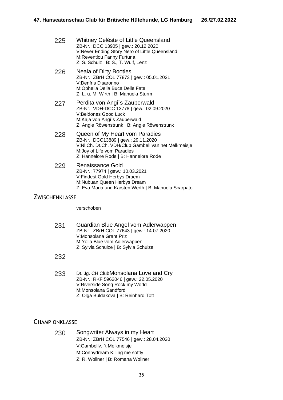| 225 | Whitney Celéste of Little Queensland           |
|-----|------------------------------------------------|
|     | ZB-Nr.: DCC 13905   gew.: 20.12.2020           |
|     | V:Never Ending Story Nero of Little Queensland |
|     | M:Reventlou Fanny Furtuna                      |
|     | Z: S. Schulz   B: S., T. Wulf, Lenz            |

- 226 Neala of Dirty Booties ZB-Nr.: ZBrH COL 77873 | gew.: 05.01.2021 V:Denfris Disaronno M:Ophelia Della Buca Delle Fate Z: L. u. M. Wirth | B: Manuela Sturm
- 227 Perdita von Angi's Zauberwald ZB-Nr.: VDH-DCC 13778 | gew.: 02.09.2020 V:Beldones Good Luck M:Kaja von Angi´s Zauberwald Z: Angie Röwenstrunk | B: Angie Röwenstrunk
- 228 Queen of My Heart vom Paradies ZB-Nr.: DCC13889 | gew.: 29.11.2020 V:Nl.Ch. Dt.Ch. VDH/Club Gambell van het Melkmeisje M:Joy of Life vom Paradies Z: Hannelore Rode | B: Hannelore Rode
- 229 Renaissance Gold ZB-Nr.: 77974 | gew.: 10.03.2021 V:Findest Gold Herbys Draem M:Nubuan Queen Herbys Dream Z: Eva Maria und Karsten Werth | B: Manuela Scarpato

#### **ZWISCHENKLASSE**

verschoben

231 Guardian Blue Angel vom Adlerwappen ZB-Nr.: ZBrH COL 77643 | gew.: 14.07.2020 V:Monsolana Grant Priz M:Yolla Blue vom Adlerwappen Z: Sylvia Schulze | B: Sylvia Schulze

232

233 Dt. Jg. CH ClubMonsolana Love and Cry ZB-Nr.: RKF 5962046 | gew.: 22.05.2020 V:Riverside Song Rock my World M:Monsolana Sandford Z: Olga Buldakova | B: Reinhard Tott

#### **CHAMPIONKLASSE**

230 Songwriter Always in my Heart ZB-Nr.: ZBrH COL 77546 | gew.: 28.04.2020 V:Gambellv. `t Melkmeisje M:Connydream Killing me softly Z: R. Wollner | B: Romana Wollner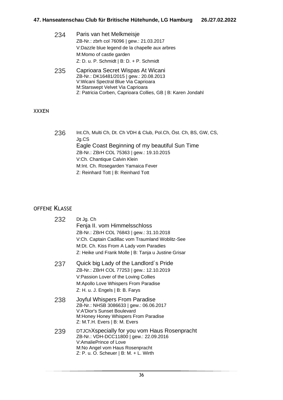| Paris van het Melkmeisje                                                                                                                                  |
|-----------------------------------------------------------------------------------------------------------------------------------------------------------|
| ZB-Nr.: zbrh col 76096   gew.: 21.03.2017                                                                                                                 |
| V:Dazzle blue legend de la chapelle aux arbres                                                                                                            |
| M:Momo of castle garden                                                                                                                                   |
| Z: D. u. P. Schmidt   B: D. + P. Schmidt                                                                                                                  |
| Caprioara Secret Wispas At Wicani<br>ZB-Nr.: DK16481/2015   gew.: 20.08.2013<br>V: Wicani Spectral Blue Via Caprioara<br>M:Starswept Velvet Via Caprioara |
|                                                                                                                                                           |

#### XXXEN

| 236 | Int.Ch, Multi Ch, Dt. Ch VDH & Club, Pol.Ch, Öst. Ch, BS, GW, CS, |
|-----|-------------------------------------------------------------------|
|     | Jg.CS                                                             |
|     | Eagle Coast Beginning of my beautiful Sun Time                    |
|     | ZB-Nr.: ZBrH COL 75363   gew.: 19.10.2015                         |
|     | V:Ch. Chantique Calvin Klein                                      |
|     | M:Int. Ch. Rosegarden Yamaica Fever                               |
|     | Z: Reinhard Tott   B: Reinhard Tott                               |

Z: Patricia Corben, Caprioara Collies, GB | B: Karen Jondahl

| 232 | Dt Jg. Ch<br>Fenja II. vom Himmelsschloss<br>ZB-Nr.: ZBrH COL 76843   gew.: 31.10.2018<br>V:Ch. Captain Cadillac vom Traumland Woblitz-See<br>M:Dt. Ch. Kiss From A Lady vom Paradies<br>Z: Heike und Frank Molle   B: Tanja u Justine Grisar |
|-----|-----------------------------------------------------------------------------------------------------------------------------------------------------------------------------------------------------------------------------------------------|
| 237 | Quick big Lady of the Landlord's Pride<br>ZB-Nr.: ZBrH COL 77253   gew.: 12.10.2019<br>V: Passion Lover of the Loving Collies<br>M: Apollo Love Whispers From Paradise<br>Z: H. u. J. Engels   B: B. Farys                                    |
| 238 | Joyful Whispers From Paradise<br>ZB-Nr.: NHSB 3086633   gew.: 06.06.2017<br><b>V:A'Dior's Sunset Boulevard</b><br>M: Honey Honey Whispers From Paradise<br>Z: M.T.H. Evers   B: M. Evers                                                      |
| 239 | DTJChXspecially for you vom Haus Rosenpracht<br>ZB-Nr.: VDH-DCC11800   gew.: 22.09.2016<br>V:AmaliePrince of Love<br>M:No Angel vom Haus Rosenpracht<br>$Z: P. u. O. Schauer   B: M. + L. Wirth$                                              |